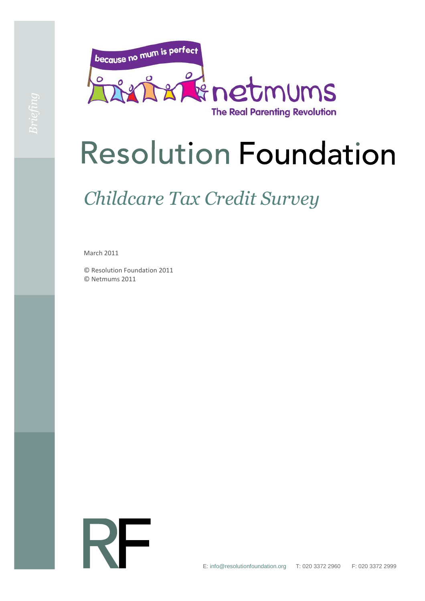

# **Resolution Foundation**

## *Childcare Tax Credit Survey*

March 2011

© Resolution Foundation 2011 © Netmums 2011

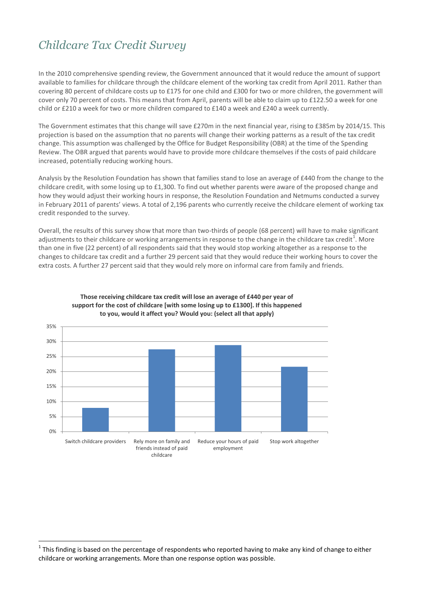### *Childcare Tax Credit Survey*

In the 2010 comprehensive spending review, the Government announced that it would reduce the amount of support available to families for childcare through the childcare element of the working tax credit from April 2011. Rather than covering 80 percent of childcare costs up to £175 for one child and £300 for two or more children, the government will cover only 70 percent of costs. This means that from April, parents will be able to claim up to £122.50 a week for one child or £210 a week for two or more children compared to £140 a week and £240 a week currently.

The Government estimates that this change will save £270m in the next financial year, rising to £385m by 2014/15. This projection is based on the assumption that no parents will change their working patterns as a result of the tax credit change. This assumption was challenged by the Office for Budget Responsibility (OBR) at the time of the Spending Review. The OBR argued that parents would have to provide more childcare themselves if the costs of paid childcare increased, potentially reducing working hours.

Analysis by the Resolution Foundation has shown that families stand to lose an average of £440 from the change to the childcare credit, with some losing up to £1,300. To find out whether parents were aware of the proposed change and how they would adjust their working hours in response, the Resolution Foundation and Netmums conducted a survey in February 2011 of parents' views. A total of 2,196 parents who currently receive the childcare element of working tax credit responded to the survey.

Overall, the results of this survey show that more than two-thirds of people (68 percent) will have to make significant adjustments to their childcare or working arrangements in response to the change in the childcare tax credit<sup>1</sup>. More than one in five (22 percent) of all respondents said that they would stop working altogether as a response to the changes to childcare tax credit and a further 29 percent said that they would reduce their working hours to cover the extra costs. A further 27 percent said that they would rely more on informal care from family and friends.



#### **Those receiving childcare tax credit will lose an average of £440 per year of support for the cost of childcare [with some losing up to £1300]. If this happened to you, would it affect you? Would you: (select all that apply)**

 $\overline{a}$ 

 $^1$  This finding is based on the percentage of respondents who reported having to make any kind of change to either childcare or working arrangements. More than one response option was possible.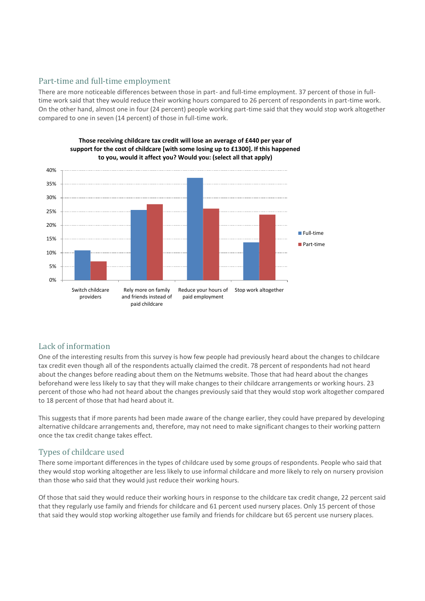#### Part-time and full-time employment

There are more noticeable differences between those in part- and full-time employment. 37 percent of those in fulltime work said that they would reduce their working hours compared to 26 percent of respondents in part-time work. On the other hand, almost one in four (24 percent) people working part-time said that they would stop work altogether compared to one in seven (14 percent) of those in full-time work.



**Those receiving childcare tax credit will lose an average of £440 per year of support for the cost of childcare [with some losing up to £1300]. If this happened to you, would it affect you? Would you: (select all that apply)** 

#### Lack of information

One of the interesting results from this survey is how few people had previously heard about the changes to childcare tax credit even though all of the respondents actually claimed the credit. 78 percent of respondents had not heard about the changes before reading about them on the Netmums website. Those that had heard about the changes beforehand were less likely to say that they will make changes to their childcare arrangements or working hours. 23 percent of those who had not heard about the changes previously said that they would stop work altogether compared to 18 percent of those that had heard about it.

This suggests that if more parents had been made aware of the change earlier, they could have prepared by developing alternative childcare arrangements and, therefore, may not need to make significant changes to their working pattern once the tax credit change takes effect.

#### Types of childcare used

There some important differences in the types of childcare used by some groups of respondents. People who said that they would stop working altogether are less likely to use informal childcare and more likely to rely on nursery provision than those who said that they would just reduce their working hours.

Of those that said they would reduce their working hours in response to the childcare tax credit change, 22 percent said that they regularly use family and friends for childcare and 61 percent used nursery places. Only 15 percent of those that said they would stop working altogether use family and friends for childcare but 65 percent use nursery places.